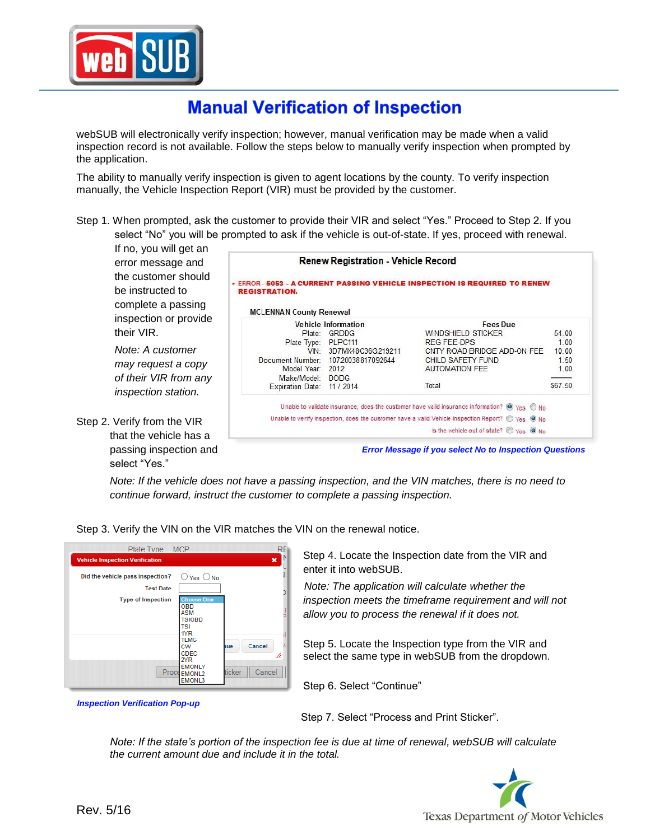

## **Manual Verification of Inspection**

webSUB will electronically verify inspection; however, manual verification may be made when a valid inspection record is not available. Follow the steps below to manually verify inspection when prompted by the application.

The ability to manually verify inspection is given to agent locations by the county. To verify inspection manually, the Vehicle Inspection Report (VIR) must be provided by the customer.

Step 1. When prompted, ask the customer to provide their VIR and select "Yes." Proceed to Step 2. If you select "No" you will be prompted to ask if the vehicle is out-of-state.

If no, you will get an error message and the customer should be instructed to complete a passing inspection or provide their VIR.

*Note: A customer may request a copy of their VIR from any inspection station.*

Step 2. Verify from the VIR that the vehicle has a passing inspection and select "Yes."

| <b>Renew Registration - Vehicle Record</b> |                                    |                                                                                                                                   |         |  |  |
|--------------------------------------------|------------------------------------|-----------------------------------------------------------------------------------------------------------------------------------|---------|--|--|
| <b>REGISTRATION.</b>                       |                                    | . ERROR - 5053 - A CURRENT PASSING VEHICLE INSPECTION IS REQUIRED TO RENEW                                                        |         |  |  |
| <b>MCLENNAN County Renewal</b>             |                                    |                                                                                                                                   |         |  |  |
| Vehicle Information                        |                                    | <b>Fees Due</b>                                                                                                                   |         |  |  |
|                                            | Plate: GRDDG                       | WINDSHIELD STICKER                                                                                                                | 54.00   |  |  |
| Plate Type: PLPC111                        |                                    | <b>REG FEE-DPS</b>                                                                                                                | 1.00    |  |  |
|                                            | VIN: 3D7MX48C36G219211             | CNTY ROAD BRIDGE ADD-ON FEE                                                                                                       | 10.00   |  |  |
|                                            | Document Number: 10720038817092644 | CHILD SAFETY FUND                                                                                                                 | 1.50    |  |  |
| Model Year: 2012                           |                                    | <b>AUTOMATION FEE</b>                                                                                                             | 1.00    |  |  |
| Make/Model: DODG                           |                                    |                                                                                                                                   |         |  |  |
| Expiration Date: 11 / 2014                 |                                    | Total                                                                                                                             | \$67.50 |  |  |
|                                            |                                    | Unable to validate insurance, does the customer have valid insurance information? $\bigcirc \gamma_{\text{ES}} \bigcirc \gamma_0$ |         |  |  |
|                                            |                                    | Unable to verify inspection, does the customer have a valid Vehicle Inspection Report? Thes O No                                  |         |  |  |
|                                            |                                    | Is the vehicle out of state? $\bigcirc$ Yes $\bigcirc$ No                                                                         |         |  |  |

*Error Message if you select No to Inspection Questions*

*Note: If the vehicle does not have a passing inspection, and the VIN matches, there is no need to continue forward, instruct the customer to complete a passing inspection.*

Step 3. Verify the VIN on the VIR matches the VIN on the renewal notice.



Step 4. Locate the Inspection date from the VIR and enter it into webSUB.

*Note: The application will calculate whether the inspection meets the timeframe requirement and will not allow you to process the renewal if it does not.*

Step 5. Locate the Inspection type from the VIR and select the same type in webSUB from the dropdown.

Step 6. Select "Continue"

*Inspection Verification Pop-up*

Step 7. Select "Process and Print Sticker".

*Note: If the state's portion of the inspection fee is due at time of renewal, webSUB will calculate the current amount due and include it in the total.*